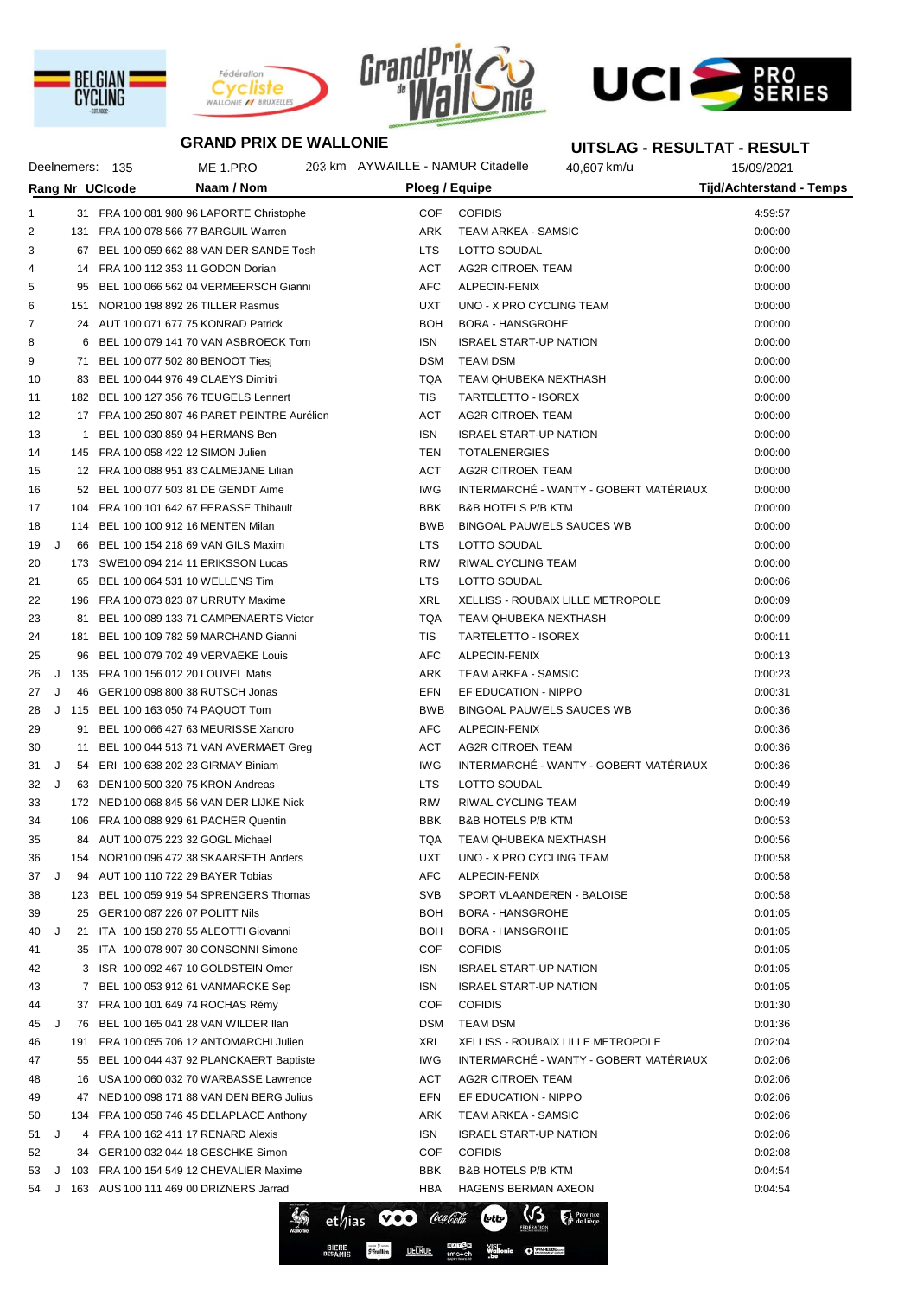







**UITSLAG - RESULTAT - RESULT**

## **GRAND PRIX DE WALLONIE**

|              |    | Deelnemers: 135 | ME 1.PRO                                                                       | 203 km AYWAILLE - NAMUR Citadelle |                               | 40,607 km/u                            | 15/09/2021                      |  |
|--------------|----|-----------------|--------------------------------------------------------------------------------|-----------------------------------|-------------------------------|----------------------------------------|---------------------------------|--|
|              |    | Rang Nr UCIcode | Naam / Nom                                                                     | Ploeg / Equipe                    |                               |                                        | <b>Tijd/Achterstand - Temps</b> |  |
| $\mathbf{1}$ |    |                 | 31 FRA 100 081 980 96 LAPORTE Christophe                                       | COF                               | <b>COFIDIS</b>                |                                        | 4:59:57                         |  |
| 2            |    |                 | 131 FRA 100 078 566 77 BARGUIL Warren                                          | ARK                               | TEAM ARKEA - SAMSIC           |                                        | 0:00:00                         |  |
| 3            |    |                 | 67 BEL 100 059 662 88 VAN DER SANDE Tosh                                       | <b>LTS</b>                        | LOTTO SOUDAL                  |                                        | 0:00:00                         |  |
| 4            |    |                 | 14 FRA 100 112 353 11 GODON Dorian                                             | ACT                               | AG2R CITROEN TEAM             |                                        | 0:00:00                         |  |
| 5            |    |                 | 95 BEL 100 066 562 04 VERMEERSCH Gianni                                        | <b>AFC</b>                        | ALPECIN-FENIX                 |                                        | 0:00:00                         |  |
| 6            |    |                 | 151 NOR 100 198 892 26 TILLER Rasmus                                           | <b>UXT</b>                        | UNO - X PRO CYCLING TEAM      |                                        | 0:00:00                         |  |
| 7            |    |                 | 24 AUT 100 071 677 75 KONRAD Patrick                                           | <b>BOH</b>                        | <b>BORA - HANSGROHE</b>       |                                        | 0:00:00                         |  |
| 8            |    |                 | 6 BEL 100 079 141 70 VAN ASBROECK Tom                                          | <b>ISN</b>                        | <b>ISRAEL START-UP NATION</b> |                                        | 0:00:00                         |  |
| 9            |    |                 | 71 BEL 100 077 502 80 BENOOT Tiesj                                             | <b>DSM</b>                        | <b>TEAM DSM</b>               |                                        | 0:00:00                         |  |
| 10           |    |                 | 83 BEL 100 044 976 49 CLAEYS Dimitri                                           | <b>TQA</b>                        | TEAM QHUBEKA NEXTHASH         |                                        | 0:00:00                         |  |
| 11           |    |                 | 182 BEL 100 127 356 76 TEUGELS Lennert                                         | <b>TIS</b>                        | TARTELETTO - ISOREX           |                                        | 0:00:00                         |  |
| 12           |    |                 | 17 FRA 100 250 807 46 PARET PEINTRE Aurélien                                   | ACT                               | AG2R CITROEN TEAM             |                                        | 0:00:00                         |  |
| 13           |    |                 | 1 BEL 100 030 859 94 HERMANS Ben                                               | <b>ISN</b>                        | <b>ISRAEL START-UP NATION</b> |                                        | 0:00:00                         |  |
| 14           |    |                 | 145 FRA 100 058 422 12 SIMON Julien                                            | TEN                               | <b>TOTALENERGIES</b>          |                                        | 0:00:00                         |  |
| 15           |    |                 | 12 FRA 100 088 951 83 CALMEJANE Lilian                                         | ACT                               | <b>AG2R CITROEN TEAM</b>      |                                        | 0:00:00                         |  |
| 16           |    |                 | 52 BEL 100 077 503 81 DE GENDT Aime                                            | IWG                               |                               | INTERMARCHÉ - WANTY - GOBERT MATÉRIAUX | 0:00:00                         |  |
| 17           |    |                 | 104 FRA 100 101 642 67 FERASSE Thibault                                        | <b>BBK</b>                        | <b>B&amp;B HOTELS P/B KTM</b> |                                        | 0:00:00                         |  |
| 18           |    |                 | 114 BEL 100 100 912 16 MENTEN Milan                                            | <b>BWB</b>                        |                               | <b>BINGOAL PAUWELS SAUCES WB</b>       | 0:00:00                         |  |
| 19           | J  |                 | 66 BEL 100 154 218 69 VAN GILS Maxim                                           | <b>LTS</b>                        | LOTTO SOUDAL                  |                                        | 0:00:00                         |  |
| 20           |    |                 | 173 SWE100 094 214 11 ERIKSSON Lucas                                           | <b>RIW</b>                        | RIWAL CYCLING TEAM            |                                        | 0:00:00                         |  |
| 21           |    |                 | 65 BEL 100 064 531 10 WELLENS Tim                                              | <b>LTS</b>                        | LOTTO SOUDAL                  |                                        | 0:00:06                         |  |
| 22           |    |                 | 196 FRA 100 073 823 87 URRUTY Maxime                                           | XRL                               |                               | XELLISS - ROUBAIX LILLE METROPOLE      | 0:00:09                         |  |
| 23           |    |                 | 81 BEL 100 089 133 71 CAMPENAERTS Victor                                       | TQA                               | TEAM QHUBEKA NEXTHASH         |                                        |                                 |  |
| 24           |    |                 | 181 BEL 100 109 782 59 MARCHAND Gianni                                         | <b>TIS</b>                        | TARTELETTO - ISOREX           |                                        | 0:00:09                         |  |
| 25           |    |                 | 96 BEL 100 079 702 49 VERVAEKE Louis                                           | AFC                               | ALPECIN-FENIX                 |                                        | 0:00:11<br>0:00:13              |  |
| 26           |    |                 | J 135 FRA 100 156 012 20 LOUVEL Matis                                          | ARK                               | TEAM ARKEA - SAMSIC           |                                        | 0:00:23                         |  |
| 27           | J  |                 | 46 GER 100 098 800 38 RUTSCH Jonas                                             | EFN                               | EF EDUCATION - NIPPO          |                                        | 0:00:31                         |  |
| 28           |    |                 | J 115 BEL 100 163 050 74 PAQUOT Tom                                            | <b>BWB</b>                        |                               | BINGOAL PAUWELS SAUCES WB              | 0:00:36                         |  |
| 29           |    |                 | 91 BEL 100 066 427 63 MEURISSE Xandro                                          | AFC                               | ALPECIN-FENIX                 |                                        | 0:00:36                         |  |
| 30           |    |                 |                                                                                | ACT                               | <b>AG2R CITROEN TEAM</b>      |                                        | 0:00:36                         |  |
| 31           | J  |                 | 11 BEL 100 044 513 71 VAN AVERMAET Greg<br>54 ERI 100 638 202 23 GIRMAY Biniam | IWG                               |                               | INTERMARCHÉ - WANTY - GOBERT MATÉRIAUX |                                 |  |
| 32 J         |    |                 | 63 DEN 100 500 320 75 KRON Andreas                                             | LTS.                              | LOTTO SOUDAL                  |                                        | 0:00:36                         |  |
|              |    |                 | 172 NED 100 068 845 56 VAN DER LIJKE Nick                                      | RIW                               |                               |                                        | 0:00:49                         |  |
| 33<br>34     |    |                 | 106 FRA 100 088 929 61 PACHER Quentin                                          | BBK                               | RIWAL CYCLING TEAM            |                                        | 0:00:49                         |  |
|              |    |                 |                                                                                |                                   | <b>B&amp;B HOTELS P/B KTM</b> |                                        | 0:00:53                         |  |
| 35           |    |                 | 84 AUT 100 075 223 32 GOGL Michael                                             | TQA<br><b>UXT</b>                 | TEAM QHUBEKA NEXTHASH         |                                        | 0:00:56                         |  |
| 36           | J  |                 | 154 NOR 100 096 472 38 SKAARSETH Anders<br>94 AUT 100 110 722 29 BAYER Tobias  | AFC                               | UNO - X PRO CYCLING TEAM      |                                        | 0:00:58                         |  |
| 37           |    |                 |                                                                                |                                   | ALPECIN-FENIX                 |                                        | 0:00:58                         |  |
| 38           |    |                 | 123 BEL 100 059 919 54 SPRENGERS Thomas                                        | <b>SVB</b>                        | SPORT VLAANDEREN - BALOISE    |                                        | 0:00:58                         |  |
| 39           |    |                 | 25 GER 100 087 226 07 POLITT Nils                                              | BOH                               | <b>BORA - HANSGROHE</b>       |                                        | 0:01:05                         |  |
| 40           | J  |                 | 21 ITA 100 158 278 55 ALEOTTI Giovanni                                         | BOH                               | <b>BORA - HANSGROHE</b>       |                                        | 0:01:05                         |  |
| 41           |    |                 | 35 ITA 100 078 907 30 CONSONNI Simone                                          | COF                               | <b>COFIDIS</b>                |                                        | 0:01:05                         |  |
| 42           |    |                 | 3 ISR 100 092 467 10 GOLDSTEIN Omer                                            | ISN                               | <b>ISRAEL START-UP NATION</b> |                                        | 0:01:05                         |  |
| 43           |    |                 | 7 BEL 100 053 912 61 VANMARCKE Sep                                             | ISN                               | <b>ISRAEL START-UP NATION</b> |                                        | 0:01:05                         |  |
| 44           |    |                 | 37 FRA 100 101 649 74 ROCHAS Rémy                                              | COF                               | <b>COFIDIS</b>                |                                        | 0:01:30                         |  |
| 45           | J  |                 | 76 BEL 100 165 041 28 VAN WILDER IIan                                          | <b>DSM</b>                        | <b>TEAM DSM</b>               |                                        | 0:01:36                         |  |
| 46           |    |                 | 191 FRA 100 055 706 12 ANTOMARCHI Julien                                       | XRL                               |                               | XELLISS - ROUBAIX LILLE METROPOLE      | 0:02:04                         |  |
| 47           |    |                 | 55 BEL 100 044 437 92 PLANCKAERT Baptiste                                      | IWG                               |                               | INTERMARCHÉ - WANTY - GOBERT MATÉRIAUX | 0:02:06                         |  |
| 48           |    |                 | 16 USA 100 060 032 70 WARBASSE Lawrence                                        | ACT                               | AG2R CITROEN TEAM             |                                        | 0:02:06                         |  |
| 49           |    |                 | 47 NED 100 098 171 88 VAN DEN BERG Julius                                      | EFN                               | EF EDUCATION - NIPPO          |                                        | 0:02:06                         |  |
| 50           |    |                 | 134 FRA 100 058 746 45 DELAPLACE Anthony                                       | ARK                               | TEAM ARKEA - SAMSIC           |                                        | 0:02:06                         |  |
| 51           | J. |                 | 4 FRA 100 162 411 17 RENARD Alexis                                             | ISN                               | <b>ISRAEL START-UP NATION</b> |                                        | 0:02:06                         |  |
| 52           |    |                 | 34 GER 100 032 044 18 GESCHKE Simon                                            | COF                               | <b>COFIDIS</b>                |                                        | 0:02:08                         |  |
| 53           |    |                 | J 103 FRA 100 154 549 12 CHEVALIER Maxime                                      | BBK                               | <b>B&amp;B HOTELS P/B KTM</b> |                                        | 0:04:54                         |  |
|              |    |                 | 54 J 163 AUS 100 111 469 00 DRIZNERS Jarrad                                    | HBA                               | HAGENS BERMAN AXEON           |                                        | 0:04:54                         |  |

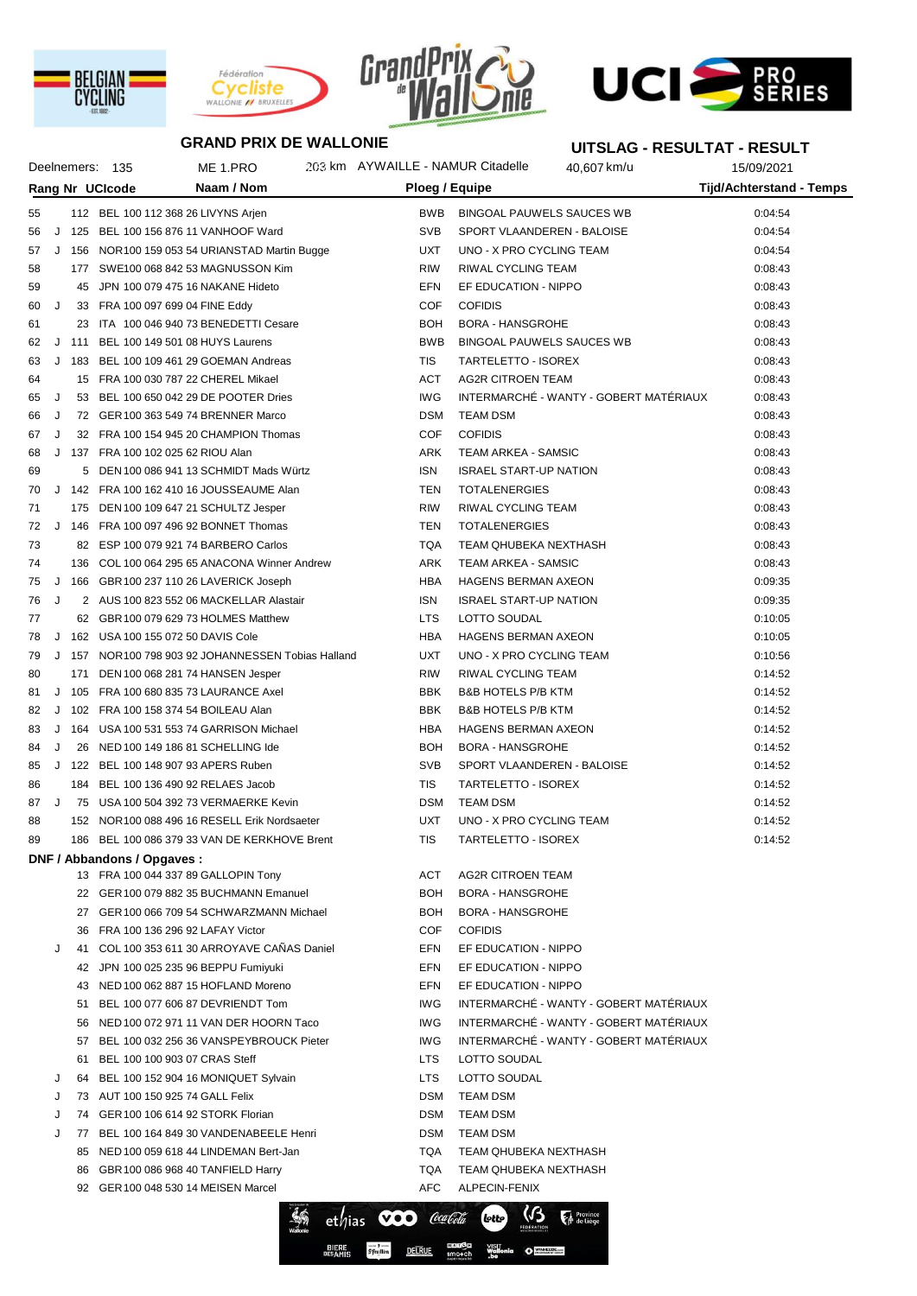





Deelnemers: 135 ME 1.PRO 203 km AYWAILLE - NAMUR Citadelle 40,607 km/u 15/09/2021



**UITSLAG - RESULTAT - RESULT**

## **GRAND PRIX DE WALLONIE**

## **Rang Nr UCIcode Naam / Nom Ploeg / Equipe Tijd/Achterstand - Temps** 55 112 BEL 100 112 368 26 LIVYNS Arjen BUS BOOK BINGOAL PAUWELS SAUCES WB 0:04:54 56 J 125 BEL 100 156 876 11 VANHOOF Ward SVB SPORT VLAANDEREN - BALOISE 0:04:54 57 J 156 NOR100 159 053 54 URIANSTAD Martin Bugge UXT UNO - X PRO CYCLING TEAM 0:04:54 58 177 SWE100 068 842 53 MAGNUSSON Kim RIW RIW RIWAL CYCLING TEAM COSA 43 59 45 JPN 100 079 475 16 NAKANE Hideto EFN EF EDUCATION - NIPPO 0:08:43 60 J 33 FRA 100 097 699 04 FINE Eddy COF COFIDIS 0:08:43 61 23 ITA 100 046 940 73 BENEDETTI Cesare BOH BORA - HANSGROHE 23 ITA 100 046 940 73 BENEDETTI Cesare 62 J 111 BEL 100 149 501 08 HUYS Laurens **BURG BURGOAL PAUWELS SAUCES WB** 0:08:43 63 J 183 BEL 100 109 461 29 GOEMAN Andreas TIS TARTELETTO - ISOREX 0:08:43 64 15 FRA 100 030 787 22 CHEREL Mikael ACT AG2R CITROEN TEAM 0:08:43 65 J 53 BEL 100 650 042 29 DE POOTER Dries ING INTERMARCHÉ - WANTY - GOBERT MATÉRIAUX 0:08:43 66 J 72 GER100 363 549 74 BRENNER Marco DSM TEAM DSM 0:08:43 67 J 32 FRA 100 154 945 20 CHAMPION Thomas COF COFIDIS 0:08:43 68 J 137 FRA 100 102 025 62 RIOU Alan ARK TEAM ARKEA - SAMSIC 0:08:43 69 5 DEN 100 086 941 13 SCHMIDT Mads Würtz ISN ISRAEL START-UP NATION 0:08:43 70 J 142 FRA 100 162 410 16 JOUSSEAUME Alan TEN TOTALENERGIES 0:08:43 71 175 DEN 100 109 647 21 SCHULTZ Jesper RIW RIWAL CYCLING TEAM 0:08:43 72 J 146 FRA 100 097 496 92 BONNET Thomas TEN TOTALENERGIES 0:08:43 73 82 ESP 100 079 921 74 BARBERO Carlos TQA TEAM QHUBEKA NEXTHASH 0:08:43 74 136 COL 100 064 295 65 ANACONA Winner Andrew ARK TEAM ARKEA - SAMSIC 136 COL 100 064 295 65 ANACONA Winner Andrew 75 J 166 GBR100 237 110 26 LAVERICK Joseph HBA HAGENS BERMAN AXEON 0:09:35 76 J 2 AUS 100 823 552 06 MACKELLAR Alastair ISN ISRAEL START-UP NATION 0:09:35 77 62 GBR100 079 629 73 HOLMES Matthew LTS LOTTO SOUDAL 0:10:05 78 J 162 USA 100 155 072 50 DAVIS Cole HBA HAGENS BERMAN AXEON 0:10:05 79 J 157 NOR100 798 903 92 JOHANNESSEN Tobias Halland UXT UNO - X PRO CYCLING TEAM 0:10:56 80 171 DEN 100 068 281 74 HANSEN Jesper RIW RIWAL CYCLING TEAM 171 DEN 100 068 281 74 HANSEN Jesper 81 J 105 FRA 100 680 835 73 LAURANCE Axel BBK B&B HOTELS P/B KTM 6:14:52 82 J 102 FRA 100 158 374 54 BOILEAU Alan BBK BAR HOTELS P/B KTM CONTROLLED B 14:52 83 J 164 USA 100 531 553 74 GARRISON Michael HBA HAGENS BERMAN AXEON 0:14:52 84 J 26 NED 100 149 186 81 SCHELLING Ide BOH BORA - HANSGROHE 6014:52 85 J 122 BEL 100 148 907 93 APERS Ruben SWB SPORT VLAANDEREN - BALOISE 614:52 86 184 BEL 100 136 490 92 RELAES Jacob TIS TARTELETTO - ISOREX 0:14:52 87 J 75 USA 100 504 392 73 VERMAERKE Kevin **DSM TEAM DSM 16 20 14:52** 0:14:52 88 152 NOR100 088 496 16 RESELL Erik Nordsaeter Van UXT UNO - X PRO CYCLING TEAM 0:14:52 89 186 BEL 100 086 379 33 VAN DE KERKHOVE Brent TIS TARTELETTO - ISOREX 0:14:52 **DNF / Abbandons / Opgaves :** 13 FRA 100 044 337 89 GALLOPIN Tony **ACT AG2R CITROEN TEAM** 22 GER100 079 882 35 BUCHMANN Emanuel BOH BORA - HANSGROHE 27 GER100 066 709 54 SCHWARZMANN Michael BOH BORA - HANSGROHE 36 FRA 100 136 296 92 LAFAY Victor COF COFIDIS J 41 COL 100 353 611 30 ARROYAVE CAÑAS Daniel EFN EF EDUCATION - NIPPO 42 JPN 100 025 235 96 BEPPU Fumiyuki EFN EF EDUCATION - NIPPO 43 NED 100 062 887 15 HOFLAND Moreno EFN EF EDUCATION - NIPPO 51 BEL 100 077 606 87 DEVRIENDT Tom IWG INTERMARCHÉ - WANTY - GOBERT MATÉRIAUX 56 NED 100 072 971 11 VAN DER HOORN Taco IWG INTERMARCHÉ - WANTY - GOBERT MATÉRIAUX 57 BEL 100 032 256 36 VANSPEYBROUCK Pieter IVG INTERMARCHÉ - WANTY - GOBERT MATÉRIAUX 61 BEL 100 100 903 07 CRAS Steff LTS LOTTO SOUDAL J 64 BEL 100 152 904 16 MONIQUET Sylvain LTS LOTTO SOUDAL J 73 AUT 100 150 925 74 GALL Felix DSM TEAM DSM 74 GER 100 106 614 92 STORK Florian DSM DSM TEAM DSM 77 BEL 100 164 849 30 VANDENABEELE Henri DSM TEAM DSM 85 NED 100 059 618 44 LINDEMAN Bert-Jan TQA TEAM QHUBEKA NEXTHASH 86 GBR100 086 968 40 TANFIELD Harry TQA TEAM QHUBEKA NEXTHASH 92 GER100 048 530 14 MEISEN Marcel AFC ALPECIN-FENIX